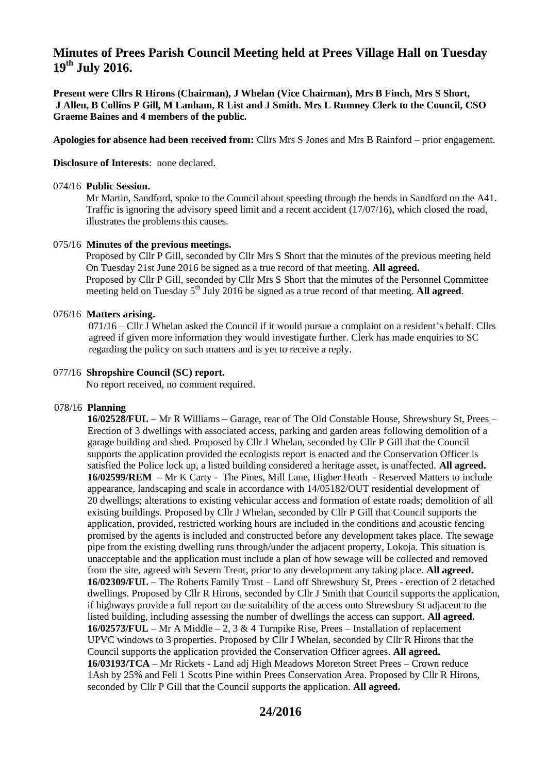# **Minutes of Prees Parish Council Meeting held at Prees Village Hall on Tuesday 19th July 2016.**

**Present were Cllrs R Hirons (Chairman), J Whelan (Vice Chairman), Mrs B Finch, Mrs S Short, J Allen, B Collins P Gill, M Lanham, R List and J Smith. Mrs L Rumney Clerk to the Council, CSO Graeme Baines and 4 members of the public.**

**Apologies for absence had been received from:** Cllrs Mrs S Jones and Mrs B Rainford – prior engagement.

**Disclosure of Interests**: none declared.

#### 074/16 **Public Session.**

Mr Martin, Sandford, spoke to the Council about speeding through the bends in Sandford on the A41. Traffic is ignoring the advisory speed limit and a recent accident (17/07/16), which closed the road, illustrates the problems this causes.

## 075/16 **Minutes of the previous meetings.**

 Proposed by Cllr P Gill, seconded by Cllr Mrs S Short that the minutes of the previous meeting held On Tuesday 21st June 2016 be signed as a true record of that meeting. **All agreed.** Proposed by Cllr P Gill, seconded by Cllr Mrs S Short that the minutes of the Personnel Committee meeting held on Tuesday 5<sup>th</sup> July 2016 be signed as a true record of that meeting. **All agreed**.

## 076/16 **Matters arising.**

 071/16 – Cllr J Whelan asked the Council if it would pursue a complaint on a resident's behalf. Cllrs agreed if given more information they would investigate further. Clerk has made enquiries to SC regarding the policy on such matters and is yet to receive a reply.

## 077/16 **Shropshire Council (SC) report.**

No report received, no comment required.

# 078/16 **Planning**

 **16/02528/FUL –** Mr R Williams **–** Garage, rear of The Old Constable House, Shrewsbury St, Prees – Erection of 3 dwellings with associated access, parking and garden areas following demolition of a garage building and shed. Proposed by Cllr J Whelan, seconded by Cllr P Gill that the Council supports the application provided the ecologists report is enacted and the Conservation Officer is satisfied the Police lock up, a listed building considered a heritage asset, is unaffected. **All agreed. 16/02599/REM –** Mr K Carty - The Pines, Mill Lane, Higher Heath - Reserved Matters to include appearance, landscaping and scale in accordance with 14/05182/OUT residential development of 20 dwellings; alterations to existing vehicular access and formation of estate roads; demolition of all existing buildings. Proposed by Cllr J Whelan, seconded by Cllr P Gill that Council supports the application, provided, restricted working hours are included in the conditions and acoustic fencing promised by the agents is included and constructed before any development takes place. The sewage pipe from the existing dwelling runs through/under the adjacent property, Lokoja. This situation is unacceptable and the application must include a plan of how sewage will be collected and removed from the site, agreed with Severn Trent, prior to any development any taking place. **All agreed. 16/02309/FUL –** The Roberts Family Trust – Land off Shrewsbury St, Prees - erection of 2 detached dwellings. Proposed by Cllr R Hirons, seconded by Cllr J Smith that Council supports the application, if highways provide a full report on the suitability of the access onto Shrewsbury St adjacent to the listed building, including assessing the number of dwellings the access can support. **All agreed. 16/02573/FUL** – Mr A Middle – 2, 3 & 4 Turnpike Rise, Prees – Installation of replacement UPVC windows to 3 properties. Proposed by Cllr J Whelan, seconded by Cllr R Hirons that the Council supports the application provided the Conservation Officer agrees. **All agreed. 16/03193/TCA** – Mr Rickets - Land adj High Meadows Moreton Street Prees – Crown reduce 1Ash by 25% and Fell 1 Scotts Pine within Prees Conservation Area. Proposed by Cllr R Hirons, seconded by Cllr P Gill that the Council supports the application. **All agreed.**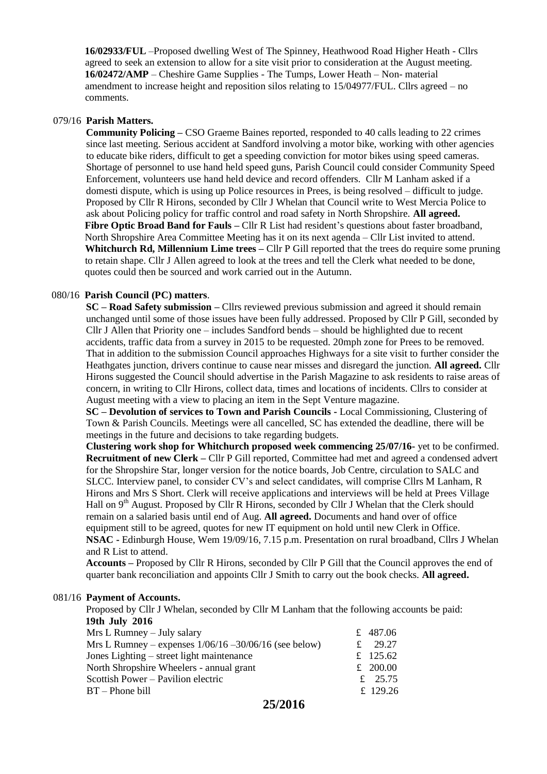**16/02933/FUL** –Proposed dwelling West of The Spinney, Heathwood Road Higher Heath - Cllrs agreed to seek an extension to allow for a site visit prior to consideration at the August meeting. **16/02472/AMP** – Cheshire Game Supplies - The Tumps, Lower Heath – Non- material amendment to increase height and reposition silos relating to 15/04977/FUL. Cllrs agreed – no comments.

#### 079/16 **Parish Matters.**

 **Community Policing –** CSO Graeme Baines reported, responded to 40 calls leading to 22 crimes since last meeting. Serious accident at Sandford involving a motor bike, working with other agencies to educate bike riders, difficult to get a speeding conviction for motor bikes using speed cameras. Shortage of personnel to use hand held speed guns, Parish Council could consider Community Speed Enforcement, volunteers use hand held device and record offenders. Cllr M Lanham asked if a domesti dispute, which is using up Police resources in Prees, is being resolved – difficult to judge. Proposed by Cllr R Hirons, seconded by Cllr J Whelan that Council write to West Mercia Police to ask about Policing policy for traffic control and road safety in North Shropshire. **All agreed. Fibre Optic Broad Band for Fauls –** Cllr R List had resident's questions about faster broadband, North Shropshire Area Committee Meeting has it on its next agenda – Cllr List invited to attend.  **Whitchurch Rd, Millennium Lime trees –** Cllr P Gill reported that the trees do require some pruning to retain shape. Cllr J Allen agreed to look at the trees and tell the Clerk what needed to be done, quotes could then be sourced and work carried out in the Autumn.

#### 080/16 **Parish Council (PC) matters**.

 **SC – Road Safety submission –** Cllrs reviewed previous submission and agreed it should remain unchanged until some of those issues have been fully addressed. Proposed by Cllr P Gill, seconded by Cllr J Allen that Priority one – includes Sandford bends – should be highlighted due to recent accidents, traffic data from a survey in 2015 to be requested. 20mph zone for Prees to be removed. That in addition to the submission Council approaches Highways for a site visit to further consider the Heathgates junction, drivers continue to cause near misses and disregard the junction. **All agreed.** Cllr Hirons suggested the Council should advertise in the Parish Magazine to ask residents to raise areas of concern, in writing to Cllr Hirons, collect data, times and locations of incidents. Cllrs to consider at August meeting with a view to placing an item in the Sept Venture magazine.

 **SC – Devolution of services to Town and Parish Councils -** Local Commissioning, Clustering of Town & Parish Councils. Meetings were all cancelled, SC has extended the deadline, there will be meetings in the future and decisions to take regarding budgets.

 **Clustering work shop for Whitchurch proposed week commencing 25/07/16-** yet to be confirmed.  **Recruitment of new Clerk –** Cllr P Gill reported, Committee had met and agreed a condensed advert for the Shropshire Star, longer version for the notice boards, Job Centre, circulation to SALC and SLCC. Interview panel, to consider CV's and select candidates, will comprise Cllrs M Lanham, R Hirons and Mrs S Short. Clerk will receive applications and interviews will be held at Prees Village Hall on 9<sup>th</sup> August. Proposed by Cllr R Hirons, seconded by Cllr J Whelan that the Clerk should remain on a salaried basis until end of Aug. **All agreed.** Documents and hand over of office equipment still to be agreed, quotes for new IT equipment on hold until new Clerk in Office. **NSAC -** Edinburgh House, Wem 19/09/16, 7.15 p.m. Presentation on rural broadband, Cllrs J Whelan and R List to attend.

 **Accounts –** Proposed by Cllr R Hirons, seconded by Cllr P Gill that the Council approves the end of quarter bank reconciliation and appoints Cllr J Smith to carry out the book checks. **All agreed.**

#### 081/16 **Payment of Accounts.**

Proposed by Cllr J Whelan, seconded by Cllr M Lanham that the following accounts be paid:  **19th July 2016** 

| $Mrs$ L Rumney – July salary                             | £ 487.06  |
|----------------------------------------------------------|-----------|
| Mrs L Rumney – expenses $1/06/16 - 30/06/16$ (see below) | £ 29.27   |
| Jones Lighting – street light maintenance                | £ 125.62  |
| North Shropshire Wheelers - annual grant                 | £ 200.00  |
| Scottish Power – Pavilion electric                       | £ $25.75$ |
| $BT - Phone$ bill                                        | £ 129.26  |
|                                                          |           |